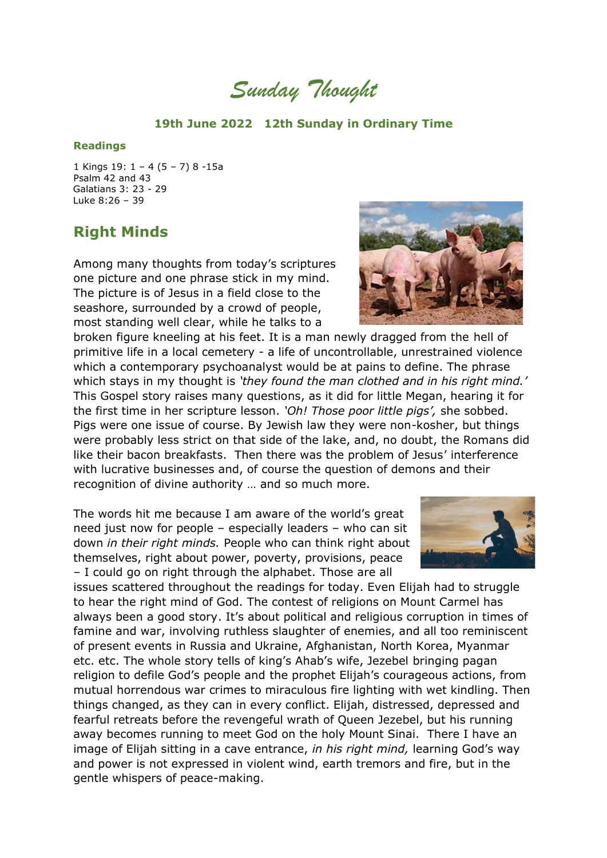*Sunday Thought*

## **19th June 2022 12th Sunday in Ordinary Time**

## **Readings**

1 Kings 19: 1 – 4 (5 – 7) 8 -15a Psalm 42 and 43 Galatians 3: 23 - 29 Luke 8:26 – 39

## **Right Minds**

Among many thoughts from today's scriptures one picture and one phrase stick in my mind. The picture is of Jesus in a field close to the seashore, surrounded by a crowd of people, most standing well clear, while he talks to a

broken figure kneeling at his feet. It is a man newly dragged from the hell of primitive life in a local cemetery - a life of uncontrollable, unrestrained violence which a contemporary psychoanalyst would be at pains to define. The phrase which stays in my thought is *'they found the man clothed and in his right mind.'* This Gospel story raises many questions, as it did for little Megan, hearing it for the first time in her scripture lesson. *'Oh! Those poor little pigs',* she sobbed. Pigs were one issue of course. By Jewish law they were non-kosher, but things were probably less strict on that side of the lake, and, no doubt, the Romans did like their bacon breakfasts. Then there was the problem of Jesus' interference with lucrative businesses and, of course the question of demons and their recognition of divine authority … and so much more.

The words hit me because I am aware of the world's great need just now for people – especially leaders – who can sit down *in their right minds.* People who can think right about themselves, right about power, poverty, provisions, peace – I could go on right through the alphabet. Those are all

issues scattered throughout the readings for today. Even Elijah had to struggle to hear the right mind of God. The contest of religions on Mount Carmel has always been a good story. It's about political and religious corruption in times of famine and war, involving ruthless slaughter of enemies, and all too reminiscent of present events in Russia and Ukraine, Afghanistan, North Korea, Myanmar etc. etc. The whole story tells of king's Ahab's wife, Jezebel bringing pagan religion to defile God's people and the prophet Elijah's courageous actions, from mutual horrendous war crimes to miraculous fire lighting with wet kindling. Then things changed, as they can in every conflict. Elijah, distressed, depressed and fearful retreats before the revengeful wrath of Queen Jezebel, but his running away becomes running to meet God on the holy Mount Sinai. There I have an image of Elijah sitting in a cave entrance, *in his right mind,* learning God's way and power is not expressed in violent wind, earth tremors and fire, but in the gentle whispers of peace-making.